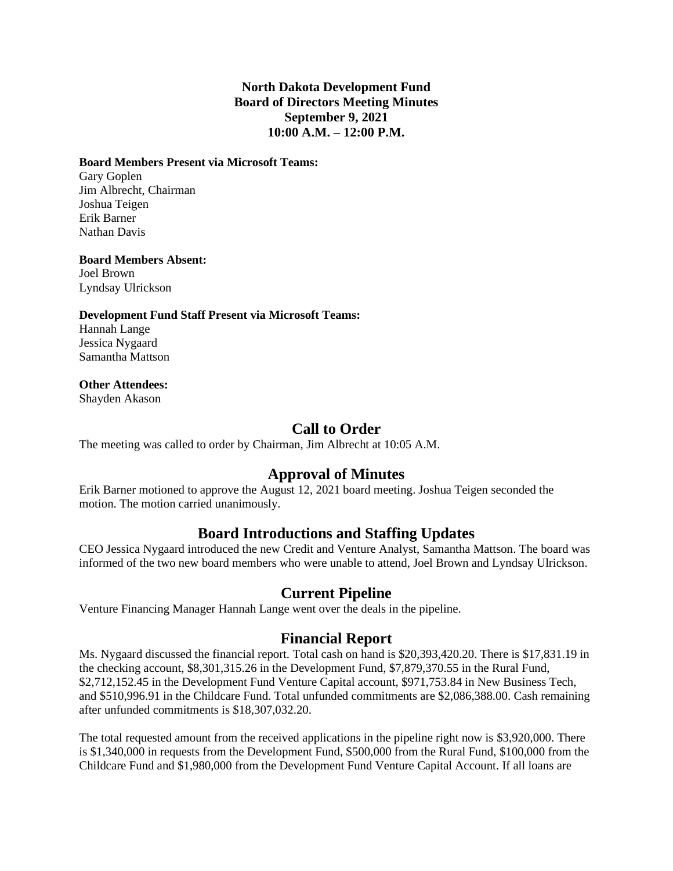### **North Dakota Development Fund Board of Directors Meeting Minutes September 9, 2021 10:00 A.M. – 12:00 P.M.**

#### **Board Members Present via Microsoft Teams:**

Gary Goplen Jim Albrecht, Chairman Joshua Teigen Erik Barner Nathan Davis

#### **Board Members Absent:**

Joel Brown Lyndsay Ulrickson

#### **Development Fund Staff Present via Microsoft Teams:**

Hannah Lange Jessica Nygaard Samantha Mattson

#### **Other Attendees:**

Shayden Akason

# **Call to Order**

The meeting was called to order by Chairman, Jim Albrecht at 10:05 A.M.

## **Approval of Minutes**

Erik Barner motioned to approve the August 12, 2021 board meeting. Joshua Teigen seconded the motion. The motion carried unanimously.

## **Board Introductions and Staffing Updates**

CEO Jessica Nygaard introduced the new Credit and Venture Analyst, Samantha Mattson. The board was informed of the two new board members who were unable to attend, Joel Brown and Lyndsay Ulrickson.

## **Current Pipeline**

Venture Financing Manager Hannah Lange went over the deals in the pipeline.

## **Financial Report**

Ms. Nygaard discussed the financial report. Total cash on hand is \$20,393,420.20. There is \$17,831.19 in the checking account, \$8,301,315.26 in the Development Fund, \$7,879,370.55 in the Rural Fund, \$2,712,152.45 in the Development Fund Venture Capital account, \$971,753.84 in New Business Tech, and \$510,996.91 in the Childcare Fund. Total unfunded commitments are \$2,086,388.00. Cash remaining after unfunded commitments is \$18,307,032.20.

The total requested amount from the received applications in the pipeline right now is \$3,920,000. There is \$1,340,000 in requests from the Development Fund, \$500,000 from the Rural Fund, \$100,000 from the Childcare Fund and \$1,980,000 from the Development Fund Venture Capital Account. If all loans are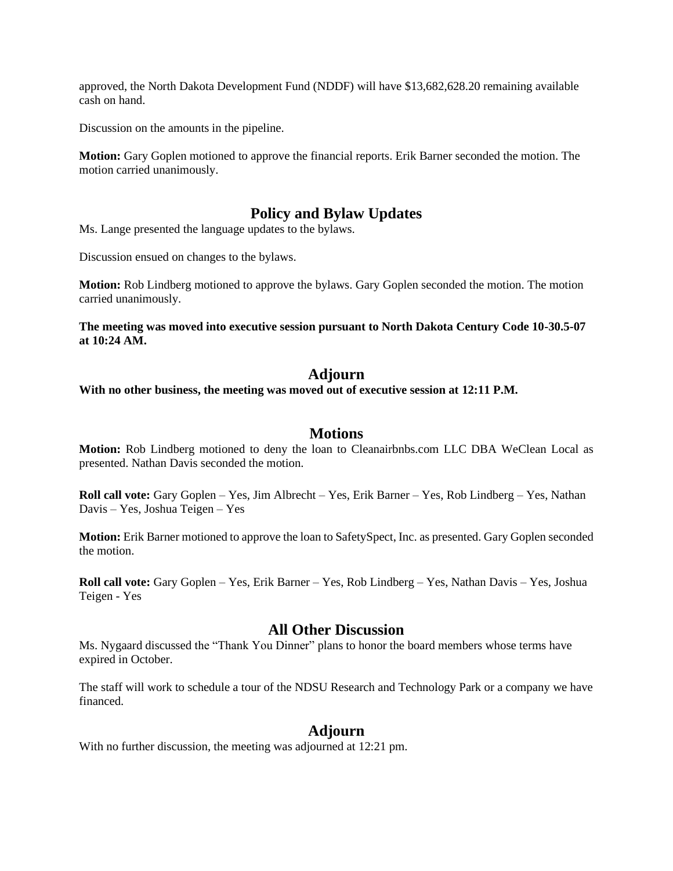approved, the North Dakota Development Fund (NDDF) will have \$13,682,628.20 remaining available cash on hand.

Discussion on the amounts in the pipeline.

**Motion:** Gary Goplen motioned to approve the financial reports. Erik Barner seconded the motion. The motion carried unanimously.

### **Policy and Bylaw Updates**

Ms. Lange presented the language updates to the bylaws.

Discussion ensued on changes to the bylaws.

**Motion:** Rob Lindberg motioned to approve the bylaws. Gary Goplen seconded the motion. The motion carried unanimously.

**The meeting was moved into executive session pursuant to North Dakota Century Code 10-30.5-07 at 10:24 AM.**

### **Adjourn**

**With no other business, the meeting was moved out of executive session at 12:11 P.M.**

#### **Motions**

**Motion:** Rob Lindberg motioned to deny the loan to Cleanairbnbs.com LLC DBA WeClean Local as presented. Nathan Davis seconded the motion.

**Roll call vote:** Gary Goplen – Yes, Jim Albrecht – Yes, Erik Barner – Yes, Rob Lindberg – Yes, Nathan Davis – Yes, Joshua Teigen – Yes

**Motion:** Erik Barner motioned to approve the loan to SafetySpect, Inc. as presented. Gary Goplen seconded the motion.

**Roll call vote:** Gary Goplen – Yes, Erik Barner – Yes, Rob Lindberg – Yes, Nathan Davis – Yes, Joshua Teigen - Yes

#### **All Other Discussion**

Ms. Nygaard discussed the "Thank You Dinner" plans to honor the board members whose terms have expired in October.

The staff will work to schedule a tour of the NDSU Research and Technology Park or a company we have financed.

### **Adjourn**

With no further discussion, the meeting was adjourned at 12:21 pm.